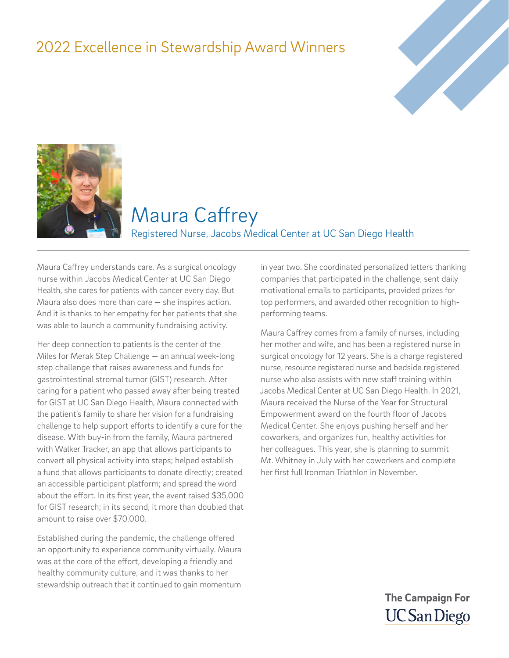### 2022 Excellence in Stewardship Award Winners





#### Maura Caffrey Registered Nurse, Jacobs Medical Center at UC San Diego Health

Maura Caffrey understands care. As a surgical oncology nurse within Jacobs Medical Center at UC San Diego Health, she cares for patients with cancer every day. But Maura also does more than care — she inspires action. And it is thanks to her empathy for her patients that she was able to launch a community fundraising activity.

Her deep connection to patients is the center of the Miles for Merak Step Challenge — an annual week-long step challenge that raises awareness and funds for gastrointestinal stromal tumor (GIST) research. After caring for a patient who passed away after being treated for GIST at UC San Diego Health, Maura connected with the patient's family to share her vision for a fundraising challenge to help support efforts to identify a cure for the disease. With buy-in from the family, Maura partnered with Walker Tracker, an app that allows participants to convert all physical activity into steps; helped establish a fund that allows participants to donate directly; created an accessible participant platform; and spread the word about the effort. In its first year, the event raised \$35,000 for GIST research; in its second, it more than doubled that amount to raise over \$70,000.

Established during the pandemic, the challenge offered an opportunity to experience community virtually. Maura was at the core of the effort, developing a friendly and healthy community culture, and it was thanks to her stewardship outreach that it continued to gain momentum

in year two. She coordinated personalized letters thanking companies that participated in the challenge, sent daily motivational emails to participants, provided prizes for top performers, and awarded other recognition to highperforming teams.

Maura Caffrey comes from a family of nurses, including her mother and wife, and has been a registered nurse in surgical oncology for 12 years. She is a charge registered nurse, resource registered nurse and bedside registered nurse who also assists with new staff training within Jacobs Medical Center at UC San Diego Health. In 2021, Maura received the Nurse of the Year for Structural Empowerment award on the fourth floor of Jacobs Medical Center. She enjoys pushing herself and her coworkers, and organizes fun, healthy activities for her colleagues. This year, she is planning to summit Mt. Whitney in July with her coworkers and complete her first full Ironman Triathlon in November.

> **The Campaign For UC San Diego**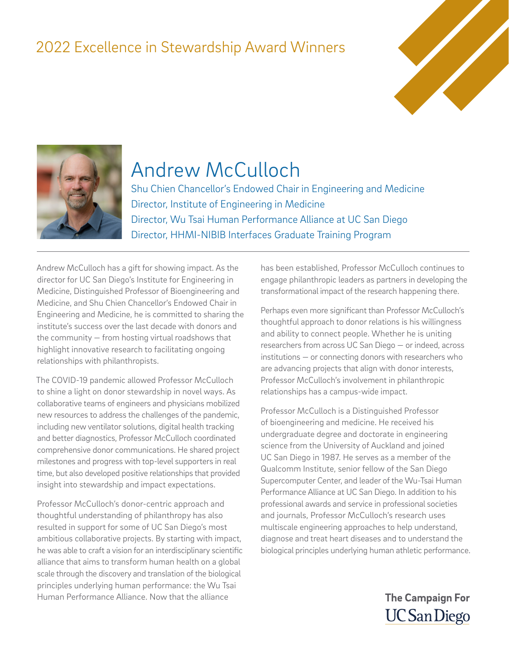### 2022 Excellence in Stewardship Award Winners





## Andrew McCulloch

Shu Chien Chancellor's Endowed Chair in Engineering and Medicine Director, Institute of Engineering in Medicine Director, Wu Tsai Human Performance Alliance at UC San Diego Director, HHMI-NIBIB Interfaces Graduate Training Program

Andrew McCulloch has a gift for showing impact. As the director for UC San Diego's Institute for Engineering in Medicine, Distinguished Professor of Bioengineering and Medicine, and Shu Chien Chancellor's Endowed Chair in Engineering and Medicine, he is committed to sharing the institute's success over the last decade with donors and the community — from hosting virtual roadshows that highlight innovative research to facilitating ongoing relationships with philanthropists.

The COVID-19 pandemic allowed Professor McCulloch to shine a light on donor stewardship in novel ways. As collaborative teams of engineers and physicians mobilized new resources to address the challenges of the pandemic, including new ventilator solutions, digital health tracking and better diagnostics, Professor McCulloch coordinated comprehensive donor communications. He shared project milestones and progress with top-level supporters in real time, but also developed positive relationships that provided insight into stewardship and impact expectations.

Professor McCulloch's donor-centric approach and thoughtful understanding of philanthropy has also resulted in support for some of UC San Diego's most ambitious collaborative projects. By starting with impact, he was able to craft a vision for an interdisciplinary scientific alliance that aims to transform human health on a global scale through the discovery and translation of the biological principles underlying human performance: the Wu Tsai Human Performance Alliance. Now that the alliance

has been established, Professor McCulloch continues to engage philanthropic leaders as partners in developing the transformational impact of the research happening there.

Perhaps even more significant than Professor McCulloch's thoughtful approach to donor relations is his willingness and ability to connect people. Whether he is uniting researchers from across UC San Diego — or indeed, across institutions — or connecting donors with researchers who are advancing projects that align with donor interests, Professor McCulloch's involvement in philanthropic relationships has a campus-wide impact.

Professor McCulloch is a Distinguished Professor of bioengineering and medicine. He received his undergraduate degree and doctorate in engineering science from the University of Auckland and joined UC San Diego in 1987. He serves as a member of the Qualcomm Institute, senior fellow of the San Diego Supercomputer Center, and leader of the Wu-Tsai Human Performance Alliance at UC San Diego. In addition to his professional awards and service in professional societies and journals, Professor McCulloch's research uses multiscale engineering approaches to help understand, diagnose and treat heart diseases and to understand the biological principles underlying human athletic performance.